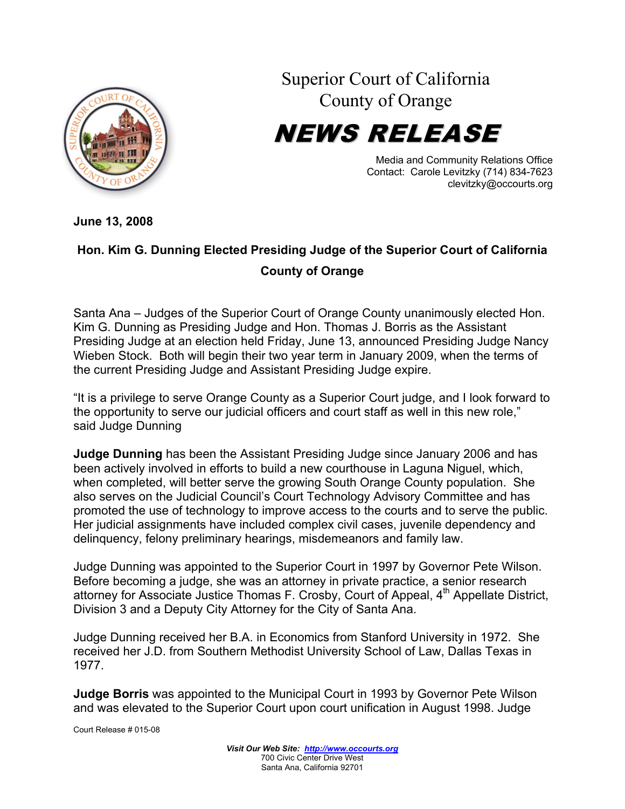

Superior Court of California County of Orange

NEWS RELEASE

Media and Community Relations Office Contact: Carole Levitzky (714) 834-7623 clevitzky@occourts.org

**June 13, 2008** 

## **Hon. Kim G. Dunning Elected Presiding Judge of the Superior Court of California County of Orange**

Santa Ana – Judges of the Superior Court of Orange County unanimously elected Hon. Kim G. Dunning as Presiding Judge and Hon. Thomas J. Borris as the Assistant Presiding Judge at an election held Friday, June 13, announced Presiding Judge Nancy Wieben Stock. Both will begin their two year term in January 2009, when the terms of the current Presiding Judge and Assistant Presiding Judge expire.

"It is a privilege to serve Orange County as a Superior Court judge, and I look forward to the opportunity to serve our judicial officers and court staff as well in this new role," said Judge Dunning

**Judge Dunning** has been the Assistant Presiding Judge since January 2006 and has been actively involved in efforts to build a new courthouse in Laguna Niguel, which, when completed, will better serve the growing South Orange County population. She also serves on the Judicial Council's Court Technology Advisory Committee and has promoted the use of technology to improve access to the courts and to serve the public. Her judicial assignments have included complex civil cases, juvenile dependency and delinquency, felony preliminary hearings, misdemeanors and family law.

Judge Dunning was appointed to the Superior Court in 1997 by Governor Pete Wilson. Before becoming a judge, she was an attorney in private practice, a senior research attorney for Associate Justice Thomas F. Crosby, Court of Appeal,  $4<sup>th</sup>$  Appellate District, Division 3 and a Deputy City Attorney for the City of Santa Ana.

Judge Dunning received her B.A. in Economics from Stanford University in 1972. She received her J.D. from Southern Methodist University School of Law, Dallas Texas in 1977.

**Judge Borris** was appointed to the Municipal Court in 1993 by Governor Pete Wilson and was elevated to the Superior Court upon court unification in August 1998. Judge

Court Release # 015-08